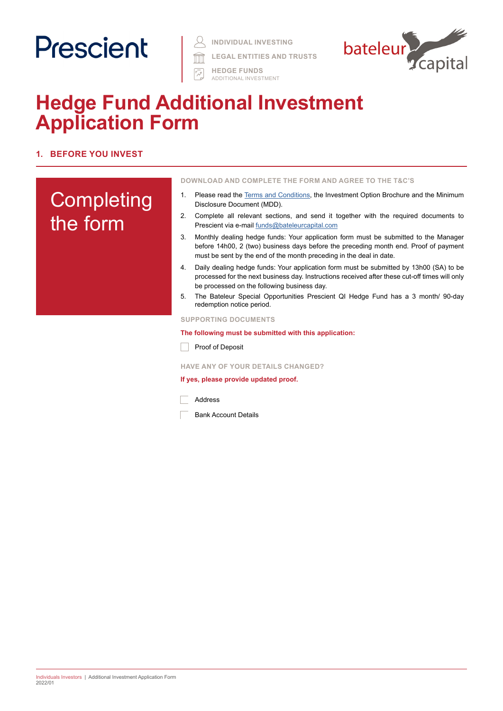# Prescient



**HEDGE FUNDS** ADDITIONAL INVESTMENT



### **Hedge Fund Additional Investment Application Form**

#### **1. BEFORE YOU INVEST**

## **Completing** the form

#### **DOWNLOAD AND COMPLETE THE FORM AND AGREE TO THE T&C'S**

- 1. Please read the [Terms and Conditions](https://www.prescient.co.za/media/de4hvtza/prescient-hedge-fund-terms-conditions.pdf), the Investment Option Brochure and the Minimum Disclosure Document (MDD).
- 2. Complete all relevant sections, and send it together with the required documents to Prescient via e-mail [funds@bateleurcapital.com](mailto:funds%40bateleurcapital.com?subject=Hedge%20Fund%20Additional%20Investment%20Application%20Form%20QI%20and%20RI)
- 3. Monthly dealing hedge funds: Your application form must be submitted to the Manager before 14h00, 2 (two) business days before the preceding month end. Proof of payment must be sent by the end of the month preceding in the deal in date.
- 4. Daily dealing hedge funds: Your application form must be submitted by 13h00 (SA) to be processed for the next business day. Instructions received after these cut-off times will only be processed on the following business day.
- 5. The Bateleur Special Opportunities Prescient QI Hedge Fund has a 3 month/ 90-day redemption notice period.

#### **SUPPORTING DOCUMENTS**

#### **The following must be submitted with this application:**

Proof of Deposit

#### **HAVE ANY OF YOUR DETAILS CHANGED?**

#### **If yes, please provide updated proof.**

Address

Bank Account Details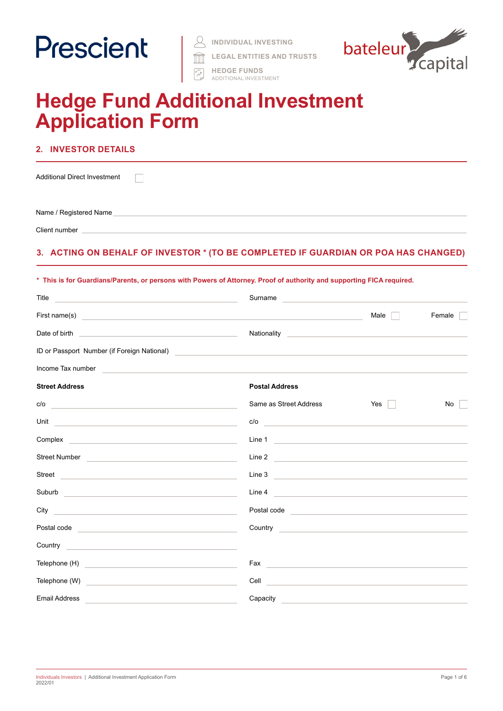

| INDIVIDUAL INVESTING |  |
|----------------------|--|
|                      |  |

**LEGAL ENTITIES AND TRUSTS**



#### **HEDGE FUNDS** ADDITIONAL INVESTMENT

### **Hedge Fund Additional Investment Application Form**

#### **2. INVESTOR DETAILS**

 $\Box$ 

Additional Direct Investment

Name / Registered Name

Client number

#### **3. ACTING ON BEHALF OF INVESTOR \* (TO BE COMPLETED IF GUARDIAN OR POA HAS CHANGED)**

#### **\* This is for Guardians/Parents, or persons with Powers of Attorney. Proof of authority and supporting FICA required.**

| Title<br><u> 1989 - Johann Barbara, martxa alemaniar argumento de la contrada de la contrada de la contrada de la contrada</u>                                                                                                       | Surname and the state of the state of the state of the state of the state of the state of the state of the state of the state of the state of the state of the state of the state of the state of the state of the state of th         |                      |        |
|--------------------------------------------------------------------------------------------------------------------------------------------------------------------------------------------------------------------------------------|----------------------------------------------------------------------------------------------------------------------------------------------------------------------------------------------------------------------------------------|----------------------|--------|
|                                                                                                                                                                                                                                      |                                                                                                                                                                                                                                        | Male $\vert$ $\vert$ | Female |
|                                                                                                                                                                                                                                      |                                                                                                                                                                                                                                        |                      |        |
|                                                                                                                                                                                                                                      | ID or Passport Number (if Foreign National)<br><u> and the contract of the contract of the contract of the contract of the contract of the contract of the contract of the contract of the contract of the contract of the contrac</u> |                      |        |
| Income Tax number<br><u> 1989 - John Stone, Amerikaansk politiker (</u>                                                                                                                                                              |                                                                                                                                                                                                                                        |                      |        |
| <b>Street Address</b>                                                                                                                                                                                                                | <b>Postal Address</b>                                                                                                                                                                                                                  |                      |        |
|                                                                                                                                                                                                                                      | Same as Street Address                                                                                                                                                                                                                 | $Yes \mid \mid$      | No     |
| Unit <u>and the contract of the contract of the contract of the contract of the contract of the contract of the contract of the contract of the contract of the contract of the contract of the contract of the contract of the </u> | c/o                                                                                                                                                                                                                                    |                      |        |
|                                                                                                                                                                                                                                      | Line 1                                                                                                                                                                                                                                 |                      |        |
| Street Number <u>experience and the street of the street and the street of the street and the street of the street of the street of the street of the street of the street of the street of the street of the street of the stre</u> | Line 2                                                                                                                                                                                                                                 |                      |        |
| Street <b>Executive Contract Contract Contract Contract Contract Contract Contract Contract Contract Contract Contract Contract Contract Contract Contract Contract Contract Contract Contract Contract Contract Contract Contra</b> | Line 3                                                                                                                                                                                                                                 |                      |        |
| Suburb and the contract of the contract of the contract of the contract of the contract of the contract of the                                                                                                                       | Line 4                                                                                                                                                                                                                                 |                      |        |
|                                                                                                                                                                                                                                      | Postal code <b>contract and contract of the contract of the contract of the contract of the contract of the contract of the contract of the contract of the contract of the contract of the contract of the contract of the cont</b>   |                      |        |
| Postal code <b>contract and contract and contract of the contract of the contract of the contract of the contract of the contract of the contract of the contract of the contract of the contract of the contract of the contrac</b> | Country <b>Countries and Countries and Countries and Countries and Countries and Countries and Countries and Countries and Countries and Countries and Countries and Countries and Countries and Countries and Countries and Cou</b>   |                      |        |
| Country <b>Countries and Countries and Countries and Countries and Countries and Countries and Countries and Countries and Countries and Countries and Countries and Countries and Countries and Countries and Countries and Cou</b> |                                                                                                                                                                                                                                        |                      |        |
|                                                                                                                                                                                                                                      |                                                                                                                                                                                                                                        |                      |        |
| Telephone (W) <u>contract the contract of the contract of the contract of the contract of the contract of the contract of the contract of the contract of the contract of the contract of the contract of the contract of the co</u> | <b>Cell</b> experience and the contract of the contract of the contract of the contract of the contract of the contract of the contract of the contract of the contract of the contract of the contract of the contract of the cont    |                      |        |
| <b>Email Address</b>                                                                                                                                                                                                                 | Capacity                                                                                                                                                                                                                               |                      |        |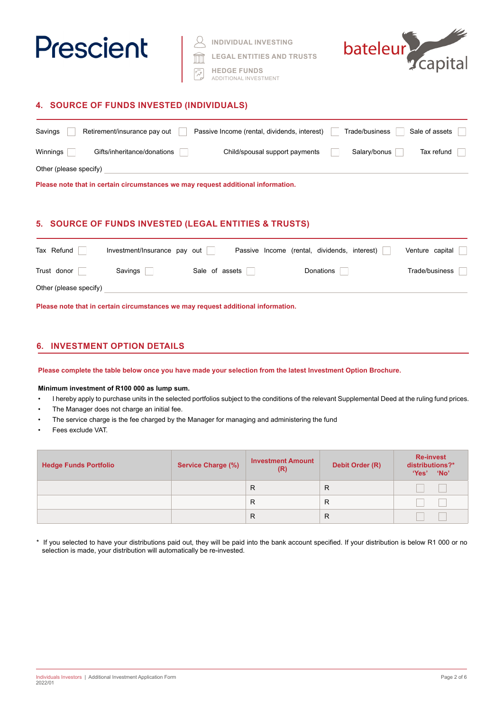

**INDIVIDUAL INVESTING**

**LEGAL ENTITIES AND TRUSTS**

**HEDGE FUNDS** ADDITIONAL INVESTMENT



#### **4. SOURCE OF FUNDS INVESTED (INDIVIDUALS)**

| Savings                | Retirement/insurance pay out | Passive Income (rental, dividends, interest)                                     | Trade/business | Sale of assets |
|------------------------|------------------------------|----------------------------------------------------------------------------------|----------------|----------------|
| Winnings               | Gifts/inheritance/donations  | Child/spousal support payments                                                   | Salary/bonus   | Tax refund     |
| Other (please specify) |                              |                                                                                  |                |                |
|                        |                              | Please note that in certain circumstances we may request additional information. |                |                |

#### **5. SOURCE OF FUNDS INVESTED (LEGAL ENTITIES & TRUSTS)**

| Tax Refund             | Investment/Insurance pay out |                | Passive Income (rental, dividends, interest) | Venture capital |
|------------------------|------------------------------|----------------|----------------------------------------------|-----------------|
| Trust donor            | Savings                      | Sale of assets | Donations                                    | Trade/business  |
| Other (please specify) |                              |                |                                              |                 |

**Please note that in certain circumstances we may request additional information.**

#### **6. INVESTMENT OPTION DETAILS**

**Please complete the table below once you have made your selection from the latest Investment Option Brochure.** 

**Minimum investment of R100 000 as lump sum.** 

- I hereby apply to purchase units in the selected portfolios subject to the conditions of the relevant Supplemental Deed at the ruling fund prices.
- The Manager does not charge an initial fee.
- The service charge is the fee charged by the Manager for managing and administering the fund
- Fees exclude VAT.

| <b>Hedge Funds Portfolio</b> | <b>Service Charge (%)</b> | <b>Investment Amount</b><br>(R) | Debit Order (R) | <b>Re-invest</b><br>distributions?*<br>'Yes'<br><b>No</b> |
|------------------------------|---------------------------|---------------------------------|-----------------|-----------------------------------------------------------|
|                              |                           | R                               | R               |                                                           |
|                              |                           | R                               | R               |                                                           |
|                              |                           | R                               | R               |                                                           |

\* If you selected to have your distributions paid out, they will be paid into the bank account specified. If your distribution is below R1 000 or no selection is made, your distribution will automatically be re-invested.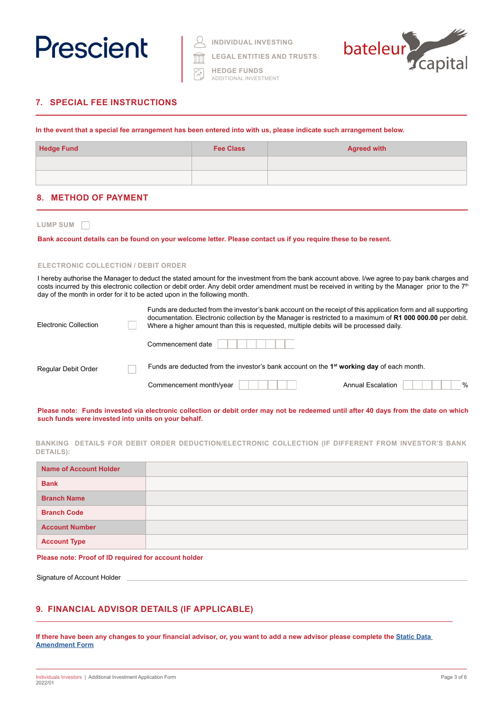

| <b>INDIVIDUAL INVESTING</b> |  |
|-----------------------------|--|
|                             |  |

**LEGAL ENTITIES AND TRUSTS**

**HEDGE FUNDS** ADDITIONAL INVESTMENT



#### **7. SPECIAL FEE INSTRUCTIONS**

**In the event that a special fee arrangement has been entered into with us, please indicate such arrangement below.**

| <b>Hedge Fund</b> | <b>Fee Class</b> | <b>Agreed with</b> |
|-------------------|------------------|--------------------|
|                   |                  |                    |
|                   |                  |                    |

#### **8. METHOD OF PAYMENT**

|  |             |  | SUM |  |
|--|-------------|--|-----|--|
|  | <b>JUMP</b> |  |     |  |
|  |             |  |     |  |
|  |             |  |     |  |

**Bank account details can be found on your welcome letter. Please contact us if you require these to be resent.**

#### **ELECTRONIC COLLECTION / DEBIT ORDER**

I hereby authorise the Manager to deduct the stated amount for the investment from the bank account above. I/we agree to pay bank charges and costs incurred by this electronic collection or debit order. Any debit order amendment must be received in writing by the Manager prior to the 7<sup>th</sup> day of the month in order for it to be acted upon in the following month.

| Electronic Collection | Funds are deducted from the investor's bank account on the receipt of this application form and all supporting<br>documentation. Electronic collection by the Manager is restricted to a maximum of R1 000 000.00 per debit.<br>Where a higher amount than this is requested, multiple debits will be processed daily. |                           |
|-----------------------|------------------------------------------------------------------------------------------------------------------------------------------------------------------------------------------------------------------------------------------------------------------------------------------------------------------------|---------------------------|
|                       | Commencement date                                                                                                                                                                                                                                                                                                      |                           |
| Regular Debit Order   | Funds are deducted from the investor's bank account on the 1 <sup>st</sup> working day of each month.                                                                                                                                                                                                                  |                           |
|                       | Commencement month/year                                                                                                                                                                                                                                                                                                | $\%$<br>Annual Escalation |

**Please note: Funds invested via electronic collection or debit order may not be redeemed until after 40 days from the date on which such funds were invested into units on your behalf.**

**BANKING DETAILS FOR DEBIT ORDER DEDUCTION/ELECTRONIC COLLECTION (IF DIFFERENT FROM INVESTOR'S BANK DETAILS):**

| <b>Name of Account Holder</b> |  |
|-------------------------------|--|
| <b>Bank</b>                   |  |
| <b>Branch Name</b>            |  |
| <b>Branch Code</b>            |  |
| <b>Account Number</b>         |  |
| <b>Account Type</b>           |  |

**Please note: Proof of ID required for account holder**

Signature of Account Holder

#### **9. FINANCIAL ADVISOR DETAILS (IF APPLICABLE)**

If there have been any changes to your financial advisor, or, you want to add a new advisor please complete the **Static Data Amendment Form**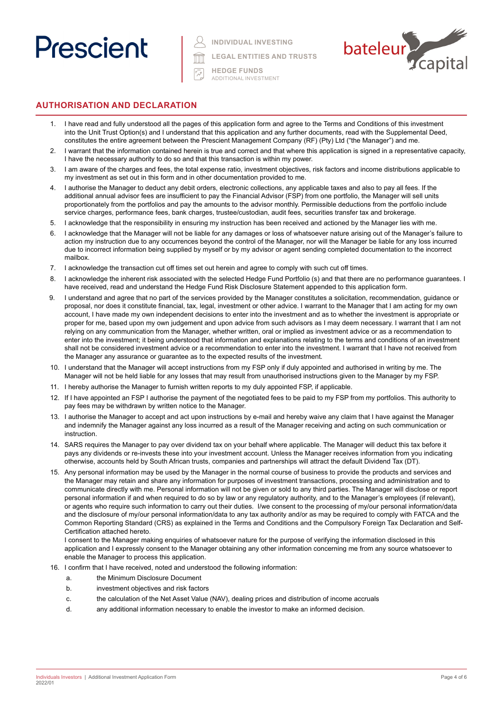## Prescient

**INDIVIDUAL INVESTING**

**LEGAL ENTITIES AND TRUSTS**



**HEDGE FUNDS** ADDITIONAL INVESTMENT

#### **AUTHORISATION AND DECLARATION**

- 1. I have read and fully understood all the pages of this application form and agree to the Terms and Conditions of this investment into the Unit Trust Option(s) and I understand that this application and any further documents, read with the Supplemental Deed, constitutes the entire agreement between the Prescient Management Company (RF) (Pty) Ltd ("the Manager") and me.
- 2. I warrant that the information contained herein is true and correct and that where this application is signed in a representative capacity, I have the necessary authority to do so and that this transaction is within my power.
- 3. I am aware of the charges and fees, the total expense ratio, investment objectives, risk factors and income distributions applicable to my investment as set out in this form and in other documentation provided to me.
- 4. I authorise the Manager to deduct any debit orders, electronic collections, any applicable taxes and also to pay all fees. If the additional annual advisor fees are insufficient to pay the Financial Advisor (FSP) from one portfolio, the Manager will sell units proportionately from the portfolios and pay the amounts to the advisor monthly. Permissible deductions from the portfolio include service charges, performance fees, bank charges, trustee/custodian, audit fees, securities transfer tax and brokerage.
- 5. I acknowledge that the responsibility in ensuring my instruction has been received and actioned by the Manager lies with me.
- 6. I acknowledge that the Manager will not be liable for any damages or loss of whatsoever nature arising out of the Manager's failure to action my instruction due to any occurrences beyond the control of the Manager, nor will the Manager be liable for any loss incurred due to incorrect information being supplied by myself or by my advisor or agent sending completed documentation to the incorrect mailbox.
- 7. I acknowledge the transaction cut off times set out herein and agree to comply with such cut off times.
- 8. I acknowledge the inherent risk associated with the selected Hedge Fund Portfolio (s) and that there are no performance guarantees. I have received, read and understand the Hedge Fund Risk Disclosure Statement appended to this application form.
- 9. I understand and agree that no part of the services provided by the Manager constitutes a solicitation, recommendation, guidance or proposal, nor does it constitute financial, tax, legal, investment or other advice. I warrant to the Manager that I am acting for my own account, I have made my own independent decisions to enter into the investment and as to whether the investment is appropriate or proper for me, based upon my own judgement and upon advice from such advisors as I may deem necessary. I warrant that I am not relying on any communication from the Manager, whether written, oral or implied as investment advice or as a recommendation to enter into the investment; it being understood that information and explanations relating to the terms and conditions of an investment shall not be considered investment advice or a recommendation to enter into the investment. I warrant that I have not received from the Manager any assurance or guarantee as to the expected results of the investment.
- 10. I understand that the Manager will accept instructions from my FSP only if duly appointed and authorised in writing by me. The Manager will not be held liable for any losses that may result from unauthorised instructions given to the Manager by my FSP.
- 11. I hereby authorise the Manager to furnish written reports to my duly appointed FSP, if applicable.
- 12. If I have appointed an FSP I authorise the payment of the negotiated fees to be paid to my FSP from my portfolios. This authority to pay fees may be withdrawn by written notice to the Manager.
- 13. I authorise the Manager to accept and act upon instructions by e-mail and hereby waive any claim that I have against the Manager and indemnify the Manager against any loss incurred as a result of the Manager receiving and acting on such communication or instruction.
- 14. SARS requires the Manager to pay over dividend tax on your behalf where applicable. The Manager will deduct this tax before it pays any dividends or re-invests these into your investment account. Unless the Manager receives information from you indicating otherwise, accounts held by South African trusts, companies and partnerships will attract the default Dividend Tax (DT).
- 15. Any personal information may be used by the Manager in the normal course of business to provide the products and services and the Manager may retain and share any information for purposes of investment transactions, processing and administration and to communicate directly with me. Personal information will not be given or sold to any third parties. The Manager will disclose or report personal information if and when required to do so by law or any regulatory authority, and to the Manager's employees (if relevant), or agents who require such information to carry out their duties. I/we consent to the processing of my/our personal information/data and the disclosure of my/our personal information/data to any tax authority and/or as may be required to comply with FATCA and the Common Reporting Standard (CRS) as explained in the Terms and Conditions and the Compulsory Foreign Tax Declaration and Self-Certification attached hereto.

I consent to the Manager making enquiries of whatsoever nature for the purpose of verifying the information disclosed in this application and I expressly consent to the Manager obtaining any other information concerning me from any source whatsoever to enable the Manager to process this application.

- 16. I confirm that I have received, noted and understood the following information:
	- a. the Minimum Disclosure Document
	- b. investment objectives and risk factors
	- c. the calculation of the Net Asset Value (NAV), dealing prices and distribution of income accruals
	- d. any additional information necessary to enable the investor to make an informed decision.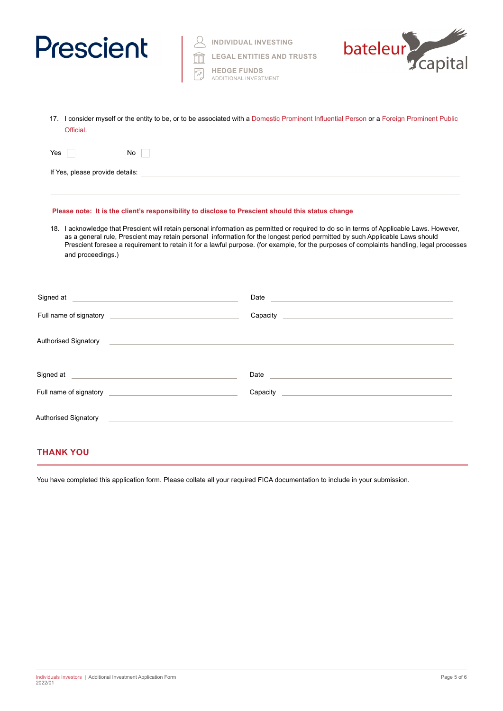| <b>Prescient</b>                                                                                                                                                                                                                     | <b>INDIVIDUAL INVESTING</b><br><b>LEGAL ENTITIES AND TRUSTS</b><br><b>HEDGE FUNDS</b><br>ADDITIONAL INVESTMENT                                                                                                                                                                                                                                                                                                         | capital<br>bateleur                                                                                                                                                                                                            |
|--------------------------------------------------------------------------------------------------------------------------------------------------------------------------------------------------------------------------------------|------------------------------------------------------------------------------------------------------------------------------------------------------------------------------------------------------------------------------------------------------------------------------------------------------------------------------------------------------------------------------------------------------------------------|--------------------------------------------------------------------------------------------------------------------------------------------------------------------------------------------------------------------------------|
| Official                                                                                                                                                                                                                             | 17. I consider myself or the entity to be, or to be associated with a Domestic Prominent Influential Person or a Foreign Prominent Public                                                                                                                                                                                                                                                                              |                                                                                                                                                                                                                                |
| Yes<br>No                                                                                                                                                                                                                            |                                                                                                                                                                                                                                                                                                                                                                                                                        |                                                                                                                                                                                                                                |
|                                                                                                                                                                                                                                      |                                                                                                                                                                                                                                                                                                                                                                                                                        |                                                                                                                                                                                                                                |
| and proceedings.)                                                                                                                                                                                                                    | 18. I acknowledge that Prescient will retain personal information as permitted or required to do so in terms of Applicable Laws. However,<br>as a general rule, Prescient may retain personal information for the longest period permitted by such Applicable Laws should<br>Prescient foresee a requirement to retain it for a lawful purpose. (for example, for the purposes of complaints handling, legal processes |                                                                                                                                                                                                                                |
| Signed at the contract of the contract of the contract of the contract of the contract of the contract of the contract of the contract of the contract of the contract of the contract of the contract of the contract of the        |                                                                                                                                                                                                                                                                                                                                                                                                                        |                                                                                                                                                                                                                                |
|                                                                                                                                                                                                                                      |                                                                                                                                                                                                                                                                                                                                                                                                                        |                                                                                                                                                                                                                                |
|                                                                                                                                                                                                                                      | Authorised Signatory <b>Contract Contract Contract Contract Contract Contract Contract Contract Contract Contract Contract Contract Contract Contract Contract Contract Contract Contract Contract Contract Contract Contract Co</b>                                                                                                                                                                                   |                                                                                                                                                                                                                                |
| Signed at <u>example and a series of the series of the series of the series of the series of the series of the series of the series of the series of the series of the series of the series of the series of the series of the s</u> |                                                                                                                                                                                                                                                                                                                                                                                                                        | Date and the contract of the contract of the contract of the contract of the contract of the contract of the contract of the contract of the contract of the contract of the contract of the contract of the contract of the c |
|                                                                                                                                                                                                                                      |                                                                                                                                                                                                                                                                                                                                                                                                                        |                                                                                                                                                                                                                                |
| <b>Authorised Signatory</b>                                                                                                                                                                                                          |                                                                                                                                                                                                                                                                                                                                                                                                                        |                                                                                                                                                                                                                                |

#### **THANK YOU**

You have completed this application form. Please collate all your required FICA documentation to include in your submission.